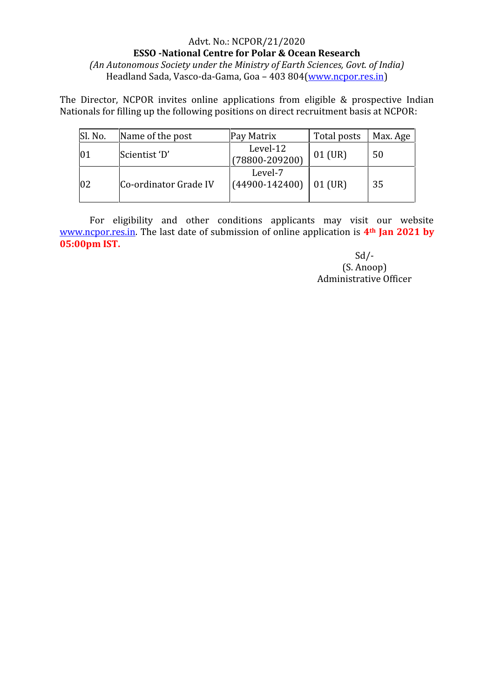## Advt. No.: NCPOR/21/2020 **ESSO -National Centre for Polar & Ocean Research** *(An Autonomous Society under the Ministry of Earth Sciences, Govt. of India)* Headland Sada, Vasco-da-Gama, Goa – 403 804(www.ncpor.res.in)

The Director, NCPOR invites online applications from eligible & prospective Indian Nationals for filling up the following positions on direct recruitment basis at NCPOR:

| Sl. No. | Name of the post      | Pay Matrix                     | Total posts | Max. Age |
|---------|-----------------------|--------------------------------|-------------|----------|
| 101     | Scientist 'D'         | Level-12<br>$(78800 - 209200)$ | 01 (UR)     | 50       |
| 02      | Co-ordinator Grade IV | Level-7<br>$(44900 - 142400)$  | $01$ (UR)   | 35       |

For eligibility and other conditions applicants may visit our website www.ncpor.res.in. The last date of submission of online application is **4th Jan 2021 by 05:00pm IST.**

> $Sd$  /-(S. Anoop) Administrative Officer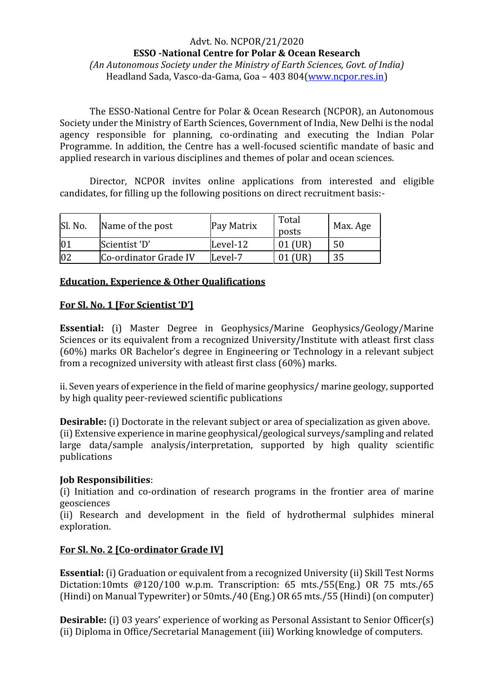### Advt. No. NCPOR/21/2020 **ESSO -National Centre for Polar & Ocean Research**

*(An Autonomous Society under the Ministry of Earth Sciences, Govt. of India)* Headland Sada, Vasco-da-Gama, Goa - 403 804(www.ncpor.res.in)

The ESSO-National Centre for Polar & Ocean Research (NCPOR), an Autonomous Society under the Ministry of Earth Sciences, Government of India, New Delhi is the nodal agency responsible for planning, co-ordinating and executing the Indian Polar Programme. In addition, the Centre has a well-focused scientific mandate of basic and applied research in various disciplines and themes of polar and ocean sciences.

Director, NCPOR invites online applications from interested and eligible candidates, for filling up the following positions on direct recruitment basis:-

| Sl. No.     | Name of the post      | Pay Matrix | Total<br>posts | Max. Age |  |
|-------------|-----------------------|------------|----------------|----------|--|
| $ 0\rangle$ | Scientist 'D'         | Level-12   |                | 50       |  |
| 02          | Co-ordinator Grade IV | Level-7    |                |          |  |

# **Education, Experience & Other Qualifications**

### **For Sl. No. 1 [For Scientist 'D']**

**Essential:** (i) Master Degree in Geophysics/Marine Geophysics/Geology/Marine Sciences or its equivalent from a recognized University/Institute with atleast first class (60%) marks OR Bachelor's degree in Engineering or Technology in a relevant subject from a recognized university with atleast first class (60%) marks.

ii. Seven years of experience in the field of marine geophysics/ marine geology, supported by high quality peer-reviewed scientific publications

**Desirable:** (i) Doctorate in the relevant subject or area of specialization as given above. (ii) Extensive experience in marine geophysical/geological surveys/sampling and related large data/sample analysis/interpretation, supported by high quality scientific publications

### **Job Responsibilities**:

(i) Initiation and co-ordination of research programs in the frontier area of marine geosciences

(ii) Research and development in the field of hydrothermal sulphides mineral exploration.

# **For Sl. No. 2 [Co-ordinator Grade IV]**

**Essential:** (i) Graduation or equivalent from a recognized University (ii) Skill Test Norms Dictation:10mts @120/100 w.p.m. Transcription: 65 mts./55(Eng.) OR 75 mts./65 (Hindi) on Manual Typewriter) or 50mts./40 (Eng.) OR 65 mts./55 (Hindi) (on computer)

**Desirable:** (i) 03 years' experience of working as Personal Assistant to Senior Officer(s) (ii) Diploma in Office/Secretarial Management (iii) Working knowledge of computers.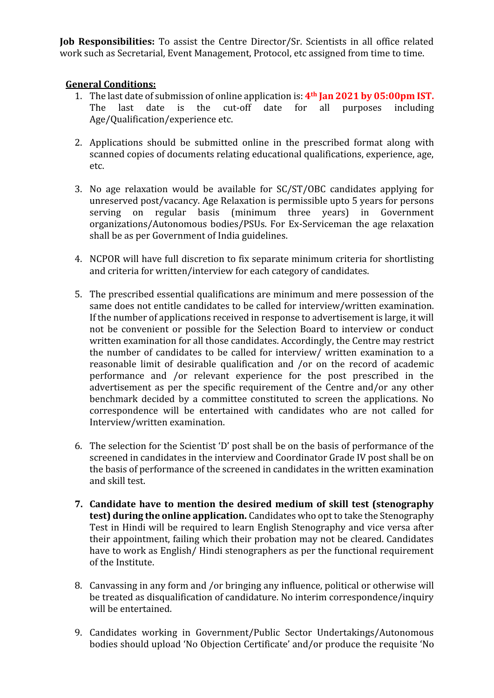**Job Responsibilities:** To assist the Centre Director/Sr. Scientists in all office related work such as Secretarial, Event Management, Protocol, etc assigned from time to time.

## **General Conditions:**

- 1. The last date of submission of online application is: **4th Jan 2021 by 05:00pm IST.** date is the cut-off date for all Age/Qualification/experience etc.
- 2. Applications should be submitted online in the prescribed format along with scanned copies of documents relating educational qualifications, experience, age, etc.
- 3. No age relaxation would be available for SC/ST/OBC candidates applying for unreserved post/vacancy. Age Relaxation is permissible upto 5 years for persons serving on regular basis (minimum three years) in Government organizations/Autonomous bodies/PSUs. For Ex-Serviceman the age relaxation shall be as per Government of India guidelines.
- 4. NCPOR will have full discretion to fix separate minimum criteria for shortlisting and criteria for written/interview for each category of candidates.
- 5. The prescribed essential qualifications are minimum and mere possession of the same does not entitle candidates to be called for interview/written examination. If the number of applications received in response to advertisement is large, it will not be convenient or possible for the Selection Board to interview or conduct written examination for all those candidates. Accordingly, the Centre may restrict the number of candidates to be called for interview/ written examination to a reasonable limit of desirable qualification and /or on the record of academic performance and /or relevant experience for the post prescribed in the advertisement as per the specific requirement of the Centre and/or any other benchmark decided by a committee constituted to screen the applications. No correspondence will be entertained with candidates who are not called for Interview/written examination.
- 6. The selection for the Scientist 'D' post shall be on the basis of performance of the screened in candidates in the interview and Coordinator Grade IV post shall be on the basis of performance of the screened in candidates in the written examination and skill test.
- **7. Candidate have to mention the desired medium of skill test (stenography test) during the online application.** Candidates who opt to take the Stenography Test in Hindi will be required to learn English Stenography and vice versa after their appointment, failing which their probation may not be cleared. Candidates have to work as English/ Hindi stenographers as per the functional requirement of the Institute.
- 8. Canvassing in any form and /or bringing any influence, political or otherwise will be treated as disqualification of candidature. No interim correspondence/inquiry will be entertained.
- 9. Candidates working in Government/Public Sector Undertakings/Autonomous bodies should upload 'No Objection Certificate' and/or produce the requisite 'No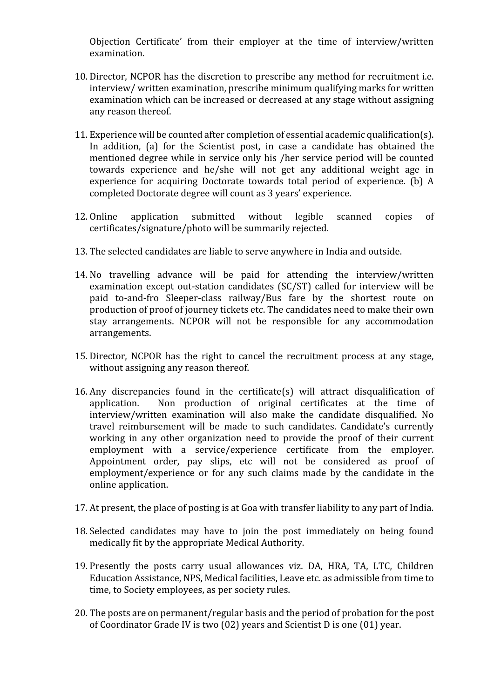Objection Certificate' from their employer at the time of interview/written examination.

- 10. Director, NCPOR has the discretion to prescribe any method for recruitment i.e. interview/ written examination, prescribe minimum qualifying marks for written examination which can be increased or decreased at any stage without assigning any reason thereof.
- 11. Experience will be counted after completion of essential academic qualification(s). In addition, (a) for the Scientist post, in case a candidate has obtained the mentioned degree while in service only his /her service period will be counted towards experience and he/she will not get any additional weight age in experience for acquiring Doctorate towards total period of experience. (b) A completed Doctorate degree will count as 3 years' experience.
- 12. Online application submitted without legible scanned copies of certificates/signature/photo will be summarily rejected.
- 13. The selected candidates are liable to serve anywhere in India and outside.
- 14. No travelling advance will be paid for attending the interview/written examination except out-station candidates (SC/ST) called for interview will be paid to-and-fro Sleeper-class railway/Bus fare by the shortest route on production of proof of journey tickets etc. The candidates need to make their own stay arrangements. NCPOR will not be responsible for any accommodation arrangements.
- 15. Director, NCPOR has the right to cancel the recruitment process at any stage, without assigning any reason thereof.
- 16. Any discrepancies found in the certificate(s) will attract disqualification of application. Non production of original certificates at the time of Non production of original certificates at the time of interview/written examination will also make the candidate disqualified. No travel reimbursement will be made to such candidates. Candidate's currently working in any other organization need to provide the proof of their current employment with a service/experience certificate from the employer. Appointment order, pay slips, etc will not be considered as proof of employment/experience or for any such claims made by the candidate in the online application.
- 17. At present, the place of posting is at Goa with transfer liability to any part of India.
- 18. Selected candidates may have to join the post immediately on being found medically fit by the appropriate Medical Authority.
- 19. Presently the posts carry usual allowances viz. DA, HRA, TA, LTC, Children Education Assistance, NPS, Medical facilities, Leave etc. as admissible from time to time, to Society employees, as per society rules.
- 20. The posts are on permanent/regular basis and the period of probation for the post of Coordinator Grade IV is two (02) years and Scientist D is one (01) year.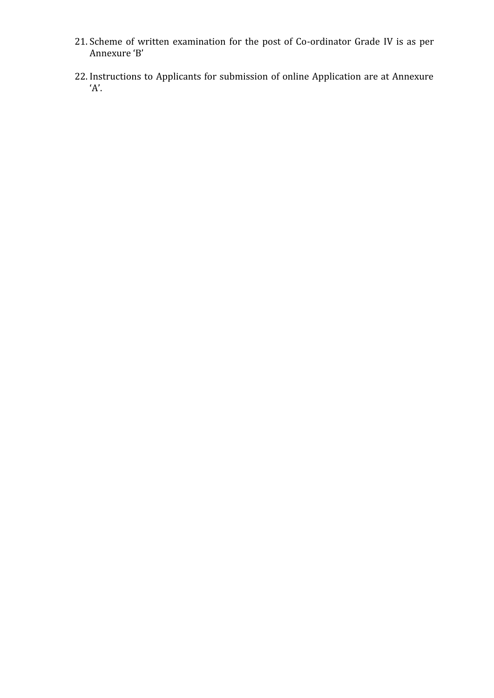- 21. Scheme of written examination for the post of Co-ordinator Grade IV is as per Annexure 'B'
- 22. Instructions to Applicants for submission of online Application are at Annexure 'A'.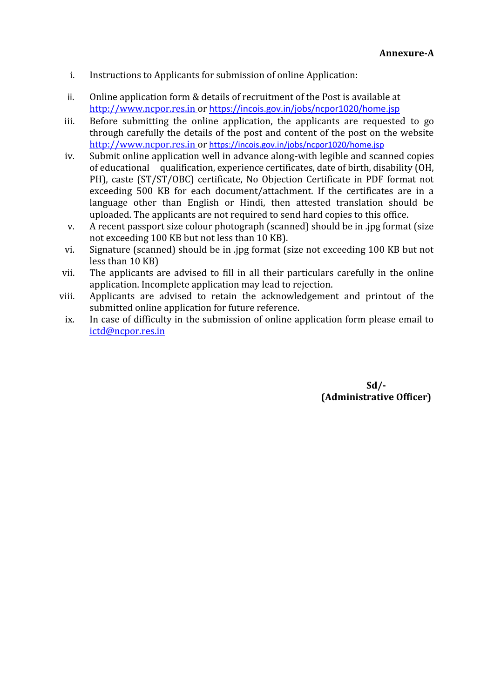- i. Instructions to Applicants for submission of online Application:
- ii. Online application form & details of recruitment of the Post is available at http://www.ncpor.res.in or https://incois.gov.in/jobs/ncpor1020/home.jsp
- iii. Before submitting the online application, the applicants are requested to go through carefully the details of the post and content of the post on the website http://www.ncpor.res.in or https://incois.gov.in/jobs/ncpor1020/home.jsp
- iv. Submit online application well in advance along-with legible and scanned copies of educational qualification, experience certificates, date of birth, disability (OH, PH), caste (ST/ST/OBC) certificate, No Objection Certificate in PDF format not exceeding 500 KB for each document/attachment. If the certificates are in a language other than English or Hindi, then attested translation should be uploaded. The applicants are not required to send hard copies to this office.
- v. A recent passport size colour photograph (scanned) should be in .jpg format (size not exceeding 100 KB but not less than 10 KB).
- vi. Signature (scanned) should be in .jpg format (size not exceeding 100 KB but not less than 10 KB)
- vii. The applicants are advised to fill in all their particulars carefully in the online application. Incomplete application may lead to rejection.
- viii. Applicants are advised to retain the acknowledgement and printout of the submitted online application for future reference.
- ix. In case of difficulty in the submission of online application form please email to ictd@ncpor.res.in

#### **Sd/- (Administrative Officer)**